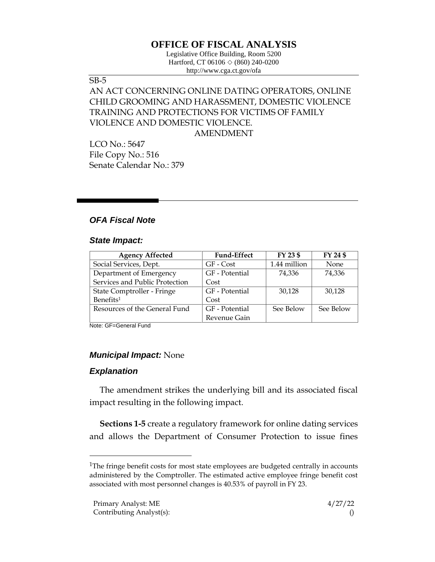# **OFFICE OF FISCAL ANALYSIS**

Legislative Office Building, Room 5200 Hartford, CT 06106  $\Diamond$  (860) 240-0200 http://www.cga.ct.gov/ofa

#### SB-5

# AN ACT CONCERNING ONLINE DATING OPERATORS, ONLINE CHILD GROOMING AND HARASSMENT, DOMESTIC VIOLENCE TRAINING AND PROTECTIONS FOR VICTIMS OF FAMILY VIOLENCE AND DOMESTIC VIOLENCE. AMENDMENT

LCO No.: 5647 File Copy No.: 516 Senate Calendar No.: 379

# *OFA Fiscal Note*

#### *State Impact:*

| <b>Agency Affected</b>         | <b>Fund-Effect</b> | FY 23 \$     | FY 24 \$  |
|--------------------------------|--------------------|--------------|-----------|
| Social Services, Dept.         | GF - Cost          | 1.44 million | None      |
| Department of Emergency        | GF - Potential     | 74,336       | 74,336    |
| Services and Public Protection | Cost               |              |           |
| State Comptroller - Fringe     | GF - Potential     | 30.128       | 30,128    |
| Benefits <sup>1</sup>          | Cost               |              |           |
| Resources of the General Fund  | GF - Potential     | See Below    | See Below |
|                                | Revenue Gain       |              |           |

Note: GF=General Fund

### *Municipal Impact:* None

### *Explanation*

The amendment strikes the underlying bill and its associated fiscal impact resulting in the following impact.

**Sections 1-5** create a regulatory framework for online dating services and allows the Department of Consumer Protection to issue fines

<sup>&</sup>lt;sup>1</sup>The fringe benefit costs for most state employees are budgeted centrally in accounts administered by the Comptroller. The estimated active employee fringe benefit cost associated with most personnel changes is 40.53% of payroll in FY 23.